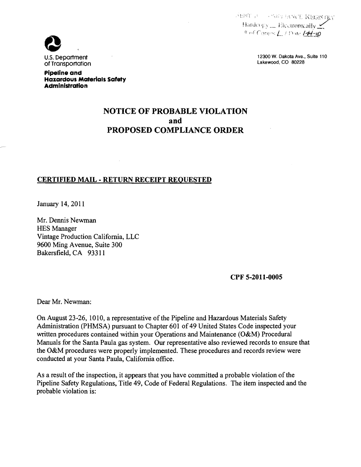ARNT FOR BOOK THE REGISTRY Hardcopy \_\_ Electronically M  $^{\#}$  of Comps  $L$  (Date  $/H$ -10

of Transportation

U.S. Department and the control of the control of the control of the control of the control of the control of the control of the control of the control of the control of the control of the control of the control of the con

**Pipeline and Hazardous Materials Safety Administration** 

## **NOTICE OF PROBABLE VIOLATION and PROPOSED COMPLIANCE ORDER**

## **CERTIFIED MAIL - RETURN RECEIPT REQUESTED**

January 14,2011

Mr. Dennis Newman HES Manager Vintage Production California, LLC 9600 Ming Avenue, Suite 300 Bakersfield, CA 93311

**CPF 5-2011-0005** 

Dear Mr. Newman:

On August 23-26, 1010, a representative of the Pipeline and Hazardous Materials Safety Administration (PHMSA) pursuant to Chapter 601 of 49 United States Code inspected your written procedures contained within your Operations and Maintenance (O&M) Procedural Manuals for the Santa Paula gas system. Our representative also reviewed records to ensure that the O&M procedures were properly implemented. These procedures and records review were conducted at your Santa Paula, California office.

As a result of the inspection, it appears that you have committed a probable violation of the Pipeline Safety Regulations, Title 49, Code of Federal Regulations. The item inspected and the probable violation is: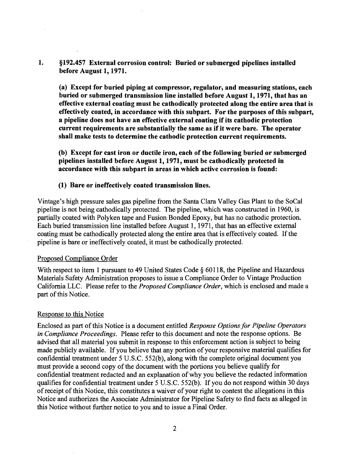1. §192.457 External corrosion control: Buried or submerged pipelines installed before August 1, 1971.

(a) Except for buried piping at compressor, regulator, and measuring stations, each buried or submerged transmission line installed before August 1, 1971, that has an effective external coating must be cathodically protected along the entire area that is effectively coated, in accordance with this subpart. For the purposes of this subpart, a pipeline does not have an effective external coating if its cathodic protection current requirements are substantially the same as if it were bare. The operator shall make tests to determine the cathodic protection current requirements.

(b) Except for cast iron or ductile iron, each of the following buried or submerged pipelines installed before August 1,1971, must be cathodically protected in accordance with this subpart in areas in which active corrosion is found:

#### (1) Bare or ineffectively coated transmission lines.

Vintage's high pressure sales gas pipeline from the Santa Clara Valley Gas Plant to the SoCal pipeline is not being cathodically protected. The pipeline, which was constructed in 1960, is partially coated with Polyken tape and Fusion Bonded Epoxy, but has no cathodic protection. Each buried transmission line installed before August 1, 1971, that has an effective external coating must be cathodically protected along the entire area that is effectively coated. If the pipeline is bare or ineffectively coated, it must be cathodically protected.

#### Proposed Compliance Order

With respect to item 1 pursuant to 49 United States Code  $\S$  60118, the Pipeline and Hazardous Materials Safety Administration proposes to issue a Compliance Order to Vintage Production California LLC. Please refer to the *Proposed Compliance Order,* which is enclosed and made a part of this Notice.

#### Response to this Notice

Enclosed as part of this Notice is a document entitled *Response Options for Pipeline Operators in Compliance Proceedings.* Please refer to this document and note the response options. Be advised that all material you submit in response to this enforcement action is subject to being made publicly available. If you believe that any portion of your responsive material qualifies for confidential treatment under 5 U.S.C. 552(b), along with the complete original document you must provide a second copy of the document with the portions you believe qualify for confidential treatment redacted and an explanation of why you believe the redacted information qualifies for confidential treatment under 5 U.S.C. 552(b). If you do not respond within 30 days ofreceipt of this Notice, this constitutes a waiver of your right to contest the allegations in this Notice and authorizes the Associate Administrator for Pipeline Safety to find facts as alleged in this Notice without further notice to you and to issue a Final Order.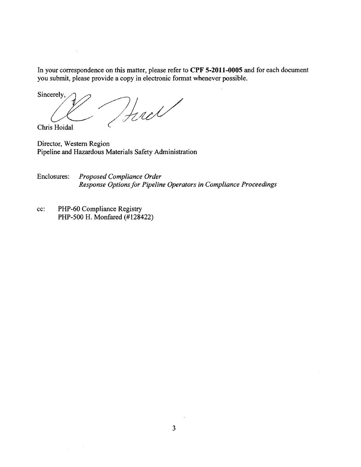In your correspondence on this matter, please refer to **CPF 5-2011-0005** and for each document you submit, please provide a copy in electronic format whenever possible.

Sincerely,  $\mathcal{U}$  ,  $\mathcal{U}$  ,  $\mathcal{U}$  ,  $\mathcal{U}$ Chris Hoidal C

Director, Western Region Pipeline and Hazardous Materials Safety Administration

Enclosures: *Proposed Compliance Order Response Options for Pipeline Operators in Compliance Proceedings* 

cc: PHP-60 Compliance Registry PHP-500 H. Monfared (#128422)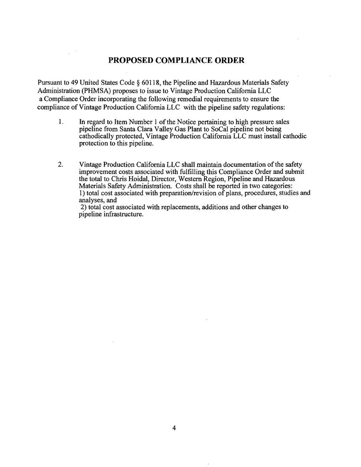## **PROPOSED COMPLIANCE ORDER**

Pursuant to 49 United States Code § 60118, the Pipeline and Hazardous Materials Safety Administration (PHMSA) proposes to issue to Vintage Production California LLC a Compliance Order incorporating the following remedial requirements to ensure the compliance of Vintage Production California LLC with the pipeline safety regulations:

- 1. In regard to Item Number 1 of the Notice pertaining to high pressure sales pipeline from Santa Clara Valley Gas Plant to SoCal pipeline not being cathodically protected, Vintage Production California LLC must install cathodic protection to this pipeline.
- 2. Vintage Production California LLC shall maintain documentation of the safety improvement costs associated with fulfilling this Compliance Order and submit the total to Chris Hoidal, Director, Western Region, Pipeline and Hazardous Materials Safety Administration. Costs shall be reported in two categories: 1) total cost associated with preparation/revision of plans, procedures, studies and analyses, and

2) total cost associated with replacements, additions and other changes to pipeline infrastructure.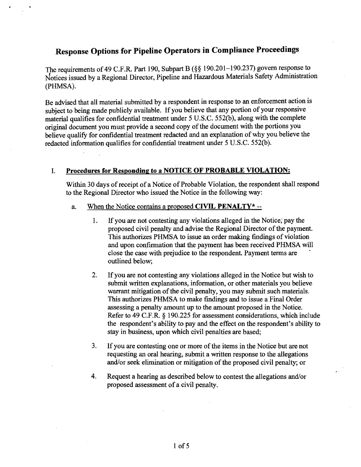# Response Options for Pipeline Operators in Compliance Proceedings

The requirements of49 C.F.R. Part 190, Subpart B (§§ 190.201-190.237) govern response to Notices issued by a Regional Director, Pipeline and Hazardous Materials Safety Administration (PHMSA).

Be advised that all material submitted by a respondent in response to an enforcement action is subject to being made publicly available. If you believe that any portion of your responsive material qualifies for confidential treatment under 5 U.S.C. 552(b), along with the complete original document you must provide a second copy of the document with the portions you believe qualify for confidential treatment redacted and an explanation of why you believe the redacted information qualifies for confidential treatment under 5 U.S.C. 552(b).

### I. Procedures for Responding to a NOTICE OF PROBABLE VIOLATION:

Within 30 days of receipt of a Notice of Probable Violation, the respondent shall respond to the Regional Director who issued the Notice in the following way:

- a. When the Notice contains a proposed CIVIL PENALTY\*  $-$ 
	- 1. If you are not contesting any violations alleged in the Notice; pay the proposed civil penalty and advise the Regional Director of the payment. This authorizes PHMSA to issue an order making findings of violation and upon confirmation that the payment has been received PHMSA will close the case with prejudice to the respondent. Payment terms are outlined below;
	- 2. If you are not contesting any violations alleged in the Notice but wish to submit written explanations, information, or other materials you believe warrant mitigation of the civil penalty, you may submit such materials. This authorizes PHMSA to make findings and to issue a Final Order assessing a penalty amount up to the amount proposed in the Notice. Refer to 49 C.F.R. § 190.225 for assessment considerations, which include the respondent's ability to pay and the effect on the respondent's ability to stay in business, upon which civil penalties are based;
	- 3. If you are contesting one or more of the items in the Notice but are not requesting an oral hearing, submit a written response to the allegations and/or seek elimination or mitigation of the proposed civil penalty; or
	- 4. Request a hearing as described below to contest the allegations and/or proposed assessment of a civil penalty.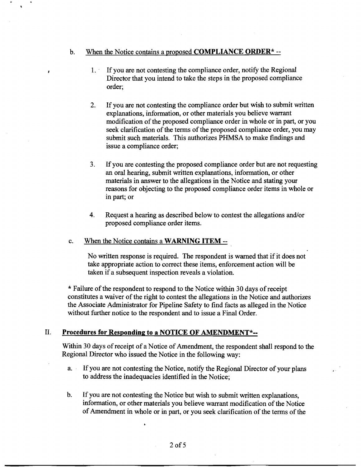#### b. When the Notice contains a proposed **COMPLIANCE ORDER\*** --

- 1. If you are not contesting the compliance order, notify the Regional Director that you intend to take the steps in the proposed compliance order;
- 2. If you are not contesting the compliance order but wish to submit written explanations, information, or other materials you believe warrant modification of the proposed compliance order in whole or in part, or you seek clarification of the terms of the proposed compliance order, you may submit such materials. This authorizes PHMSA to make findings and issue a compliance order;
- 3. If you are contesting the proposed compliance order but are not requesting an oral hearing, submit written explanations, information, or other materials in answer to the allegations in the Notice and stating your reasons for objecting to the proposed compliance order items in whole or in part; or
- 4. Request a hearing as described below to contest the allegations and/or proposed compliance order items.

#### c. When the Notice contains a **WARNING ITEM** -

No written response is required. The respondent is warned that if it does not take appropriate action to correct these items, enforcement action will be taken if a subsequent inspection reveals a violation.

\* Failure of the respondent to respond to the Notice within 30 days of receipt constitutes a waiver of the right to contest the allegations in the Notice and authorizes the Associate Administrator for Pipeline Safety to find facts as alleged in the Notice without further notice to the respondent and to issue a Final Order.

### II. **Procedures for Responding to a NOTICE OF AMENDMENT\*-**

Within 30 days of receipt of a Notice of Amendment, the respondent shall respond to the Regional Director who issued the Notice in the following way:

- a. If you are not contesting the Notice, notify the Regional Director of your plans to address the inadequacies identified in the Notice;
- b. If you are not contesting the Notice but wish to submit written explanations, information, or other materials you believe warrant modification of the Notice of Amendment in whole or in part, or you seek clarification of the terms of the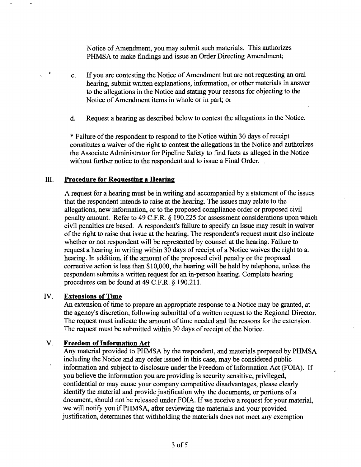Notice of Amendment, you may submit such materials. This authorizes PHMSA to make fmdings and issue an Order Directing Amendment;

- c. If you are contesting the Notice of Amendment but are not requesting an oral hearing, submit written explanations, information, or other materials in answer to the allegations in the Notice and stating your reasons for objecting to the Notice of Amendment items in whole or in part; or
- d. Request a hearing as described below to contest the allegations in the Notice.

\* Failure of the respondent to respond to the Notice within 30 days of receipt constitutes a waiver of the right to contest the allegations in the Notice and authorizes the Associate Administrator for Pipeline Safety to fmd facts as alleged in the Notice without further notice to the respondent and to issue a Final Order.

#### III. Procedure for Requesting a Hearing

A request for a hearing must be in writing and accompanied by a statement ofthe issues that the respondent intends to raise at the hearing. The issues may relate to the allegations, new information, or to the proposed compliance order or proposed civil penalty amount. Refer to 49 C.F.R. § 190.225 for assessment considerations upon which civil penalties are based. A respondent's failure to specify an issue may result in waiver of the right to raise that issue at the hearing. The respondent's request must also indicate whether or not respondent will be represented by counsel at the hearing. Failure to request a hearing in writing within 30 days of receipt of a Notice waives the right to a. hearing. In addition, if the amount of the proposed civil penalty or the proposed corrective action is less than \$10,000, the hearing will be held by telephone, unless the respondent submits a written request for an in-person hearing. Complete hearing procedures can be found at 49 C.F.R. § 190.211.

#### IV. Extensions of Time

An extension of time to prepare an appropriate response to a Notice may be granted, at the agency's discretion, following submittal of a written request to the Regional Director. The request must indicate the amount of time needed and the reasons for the extension. The request must be submitted within 30 days of receipt of the Notice.

#### V. Freedom of Information Act

Any material provided to PHMSA by the respondent, and materials prepared by PHMSA including the Notice and any order issued in this case, may be considered public information and subject to disclosure under the Freedom of Information Act (FOIA). If you believe the information you are providing is security sensitive, privileged, confidential or may cause your company competitive disadvantages, please clearly identify the material and provide justification why the documents, or portions of a document, should not be released under FOIA. If we receive a request for your material, we will notify you if PHMSA, after reviewing the materials and your provided justification, determines that withholding the materials does not meet any exemption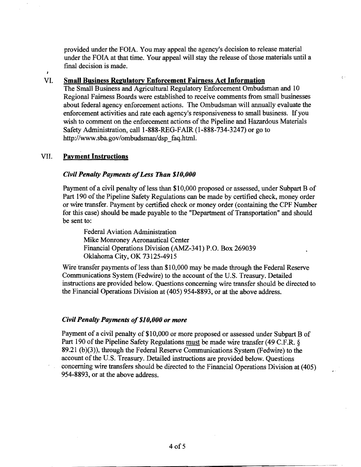provided under the FOIA. You may appeal the agency's decision to release material under the FOIA at that time. Your appeal will stay the release of those materials until a final decision is made.

 $\lambda \rightarrow$ 

#### VI. Small Business Regulatory Enforcement Fairness Act Information

The Small Business and Agricultural Regulatory Enforcement Ombudsman and 10 Regional Fairness Boards were established to receive comments from small businesses about federal agency enforcement actions. The Ombudsman will annually evaluate the enforcement activities and rate each agency's responsiveness to small business. If you wish to comment on the enforcement actions of the Pipeline and Hazardous Materials Safety Administration, calI1-888-REG-FAIR (1-888-734-3247) or go to http://www.sba.gov/ombudsman/dsp\_faq.html.

#### VII. Payment Instructions

 $\bullet$ 

#### *Civil Penalty Payments ofLess Than \$10,000*

Payment of a civil penalty of less than \$10,000 proposed or assessed, under Subpart B of Part 190 of the Pipeline Safety Regulations can be made by certified check, money order or wire transfer. Payment by certified check or money order (containing the CPF Number for this case) should be made payable to the "Department of Transportation" and should be sent to:

Federal Aviation Administration Mike Monroney Aeronautical Center Financial Operations Division (AMZ-341) P.O. Box 269039 Oklahoma City, OK 73125-4915

Wire transfer payments of less than \$10,000 may be made through the Federal Reserve Communications System (Fedwire) to the account of the U.S. Treasury. Detailed instructions are provided below. Questions concerning wire transfer should be directed to the Financial Operations Division at (405) 954-8893, or at the above address.

### *Civil Penalty Payments of\$10,000 or more*

Payment of a civil penalty of \$10,000 or more proposed or assessed under Subpart B of Part 190 of the Pipeline Safety Regulations must be made wire transfer (49 C.F.R. § 89.21 (b)(3)), through the Federal Reserve Communications System (Fedwire) to the account of the U.S. Treasury. Detailed instructions are provided below. Questions concerning wire transfers should be directed to the Financial Operations Division at (405) 954-8893, or at the above address.